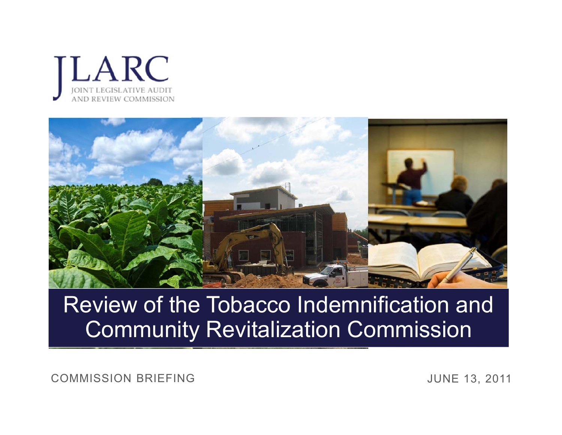



#### Review of the Tobacco Indemnification and Community Revitalization Commission

COMMISSION BRIEFING

JUNE 13, 2011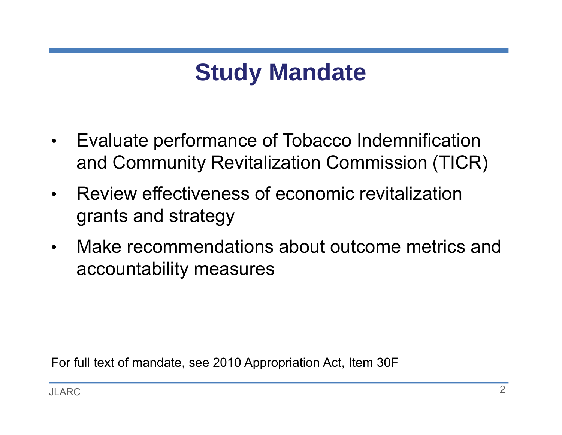# **Study Mandate**

- • Evaluate performance of Tobacco Indemnification and Community Revitalization Commission (TICR)
- • Review effectiveness of economic revitalization grants and strategy
- $\bullet$  Make recommendations about outcome metrics and accountability measures

For full text of mandate, see 2010 Appropriation Act, Item 30F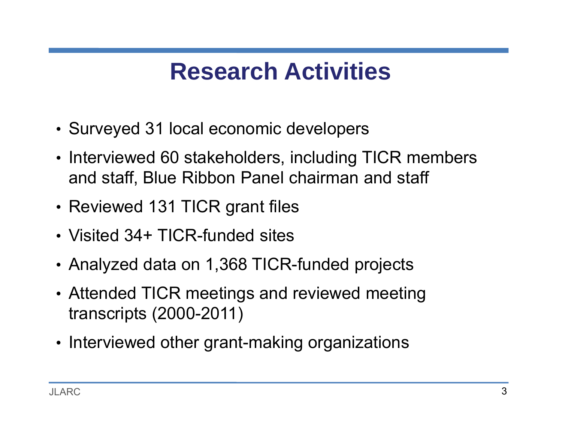#### **Research Activities**

- Surveyed 31 local economic developers
- Interviewed 60 stakeholders, including TICR members and staff, Blue Ribbon Panel chairman and staff
- Reviewed 131 TICR grant files
- Visited 34+ TICR-funded sites
- Analyzed data on 1,368 TICR-funded projects
- Attended TICR meetings and reviewed meeting transcripts (2000-2011)
- Interviewed other grant-making organizations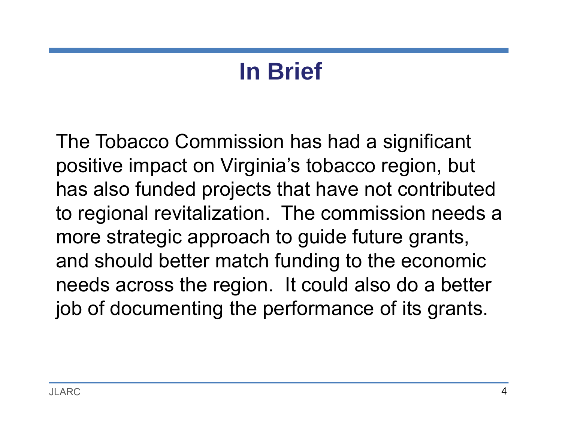# **In Brief**

The Tobacco Commission has had a significant positive impact on Virginia's tobacco region, but has also funded projects that have not contributed to regional revitalization. The commission needs a more strategic approach to guide future grants, and should better match funding to the economic needs across the region. It could also do a better job of documenting the performance of its grants.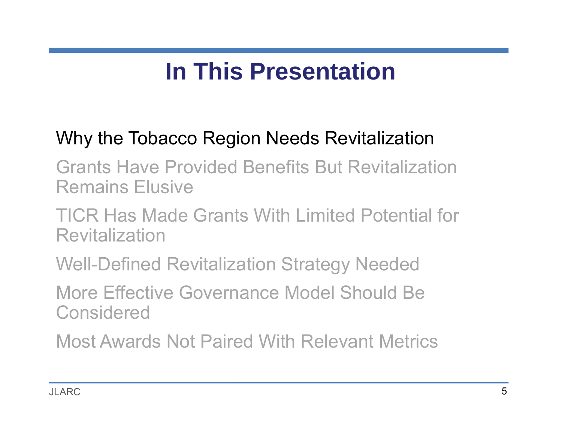# **In This Presentation**

#### Why the Tobacco Region Needs Revitalization

Grants Have Provided Benefits But Revitalization Remains Elusive

TICR Has Made Grants With Limited Potential for Revitalization

Well-Defined Revitalization Strategy Needed

More Effective Governance Model Should Be Considered

Most Awards Not Paired With Relevant Metrics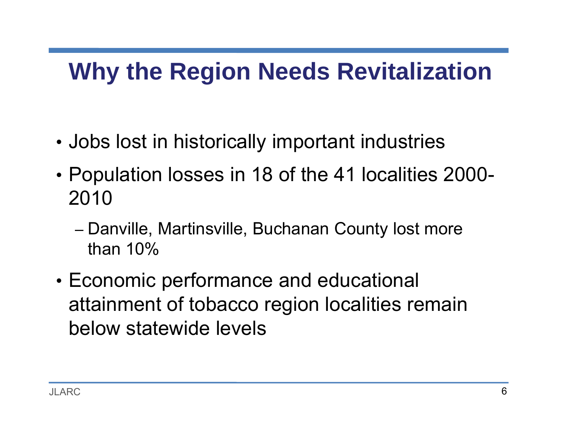## **Why the Region Needs Revitalization**

- •Jobs lost in historically important industries
- • Population losses in 18 of the 41 localities 2000- 2010
	- –– Danville, Martinsville, Buchanan County lost more than 10%
- • Economic performance and educational attainment of tobacco region localities remain below statewide levels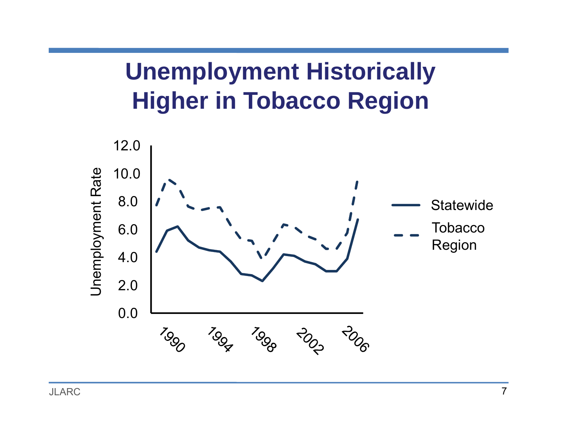# **Unemployment Historically Higher in Tobacco Region**

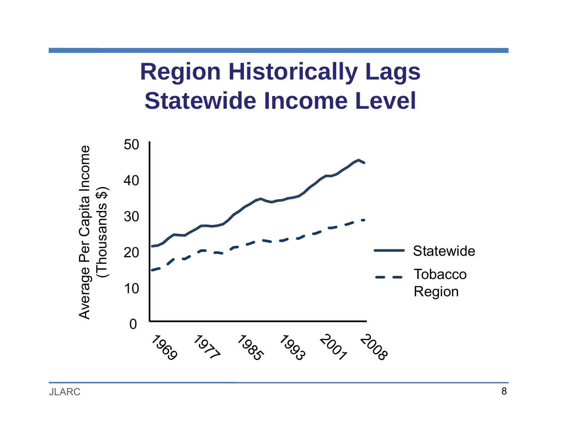#### **Region Historically Lags Statewide Income Level**

![](_page_7_Figure_1.jpeg)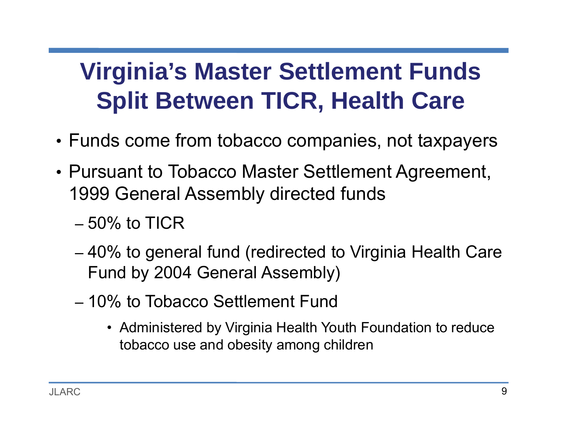# **Virginia's Master Settlement Funds Split Between TICR, Health Care**

- Funds come from tobacco companies, not taxpayers
- Pursuant to Tobacco Master Settlement Agreement, 1999 General Assembly directed funds
	- 50% to TICR
	- – 40% to general fund (redirected to Virginia Health Care Fund by 2004 General Assembly)
	- 10% to Tobacco Settlement Fund
		- Administered by Virginia Health Youth Foundation to reduce tobacco use and obesity among children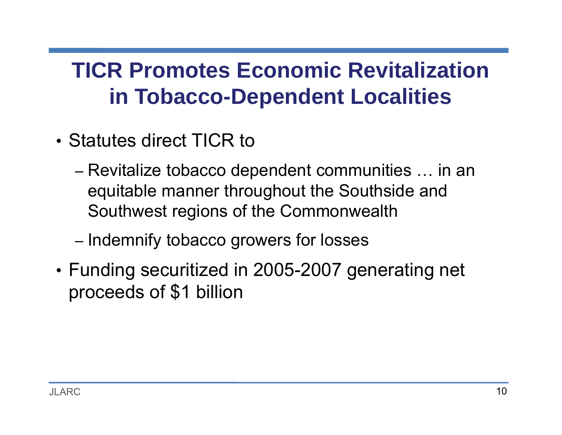#### **TICR Promotes Economic Revitalization in Tobacco-Dependent Localities**

- Statutes direct TICR to
	- – Revitalize tobacco dependent communities … in an equitable manner throughout the Southside and Southwest regions of the Commonwealth
	- –– Indemnify tobacco growers for losses
- Funding securitized in 2005-2007 generating net proceeds of \$1 billion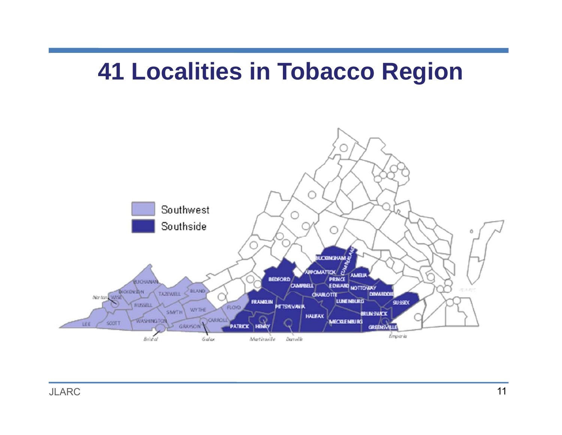#### **41 Localities in Tobacco Region**

![](_page_10_Figure_1.jpeg)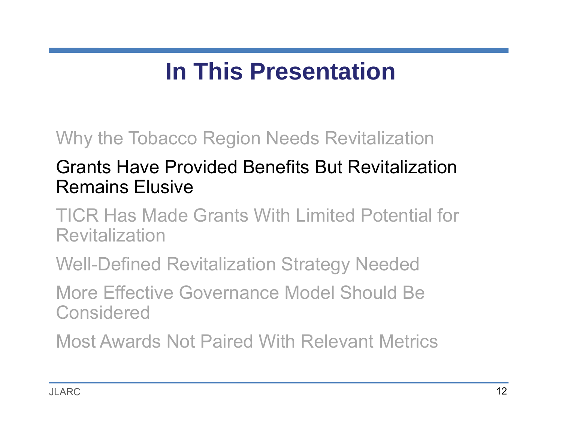# **In This Presentation**

#### Why the Tobacco Region Needs Revitalization

#### Grants Have Provided Benefits But Revitalization Remains Elusive

TICR Has Made Grants With Limited Potential for Revitalization

Well-Defined Revitalization Strategy Needed

More Effective Governance Model Should Be Considered

Most Awards Not Paired With Relevant Metrics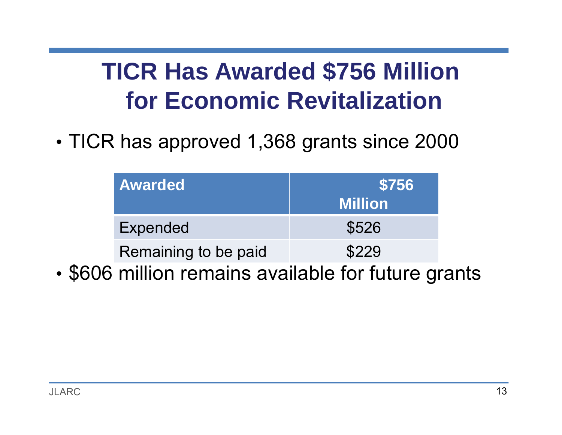# **TICR Has Awarded \$756 Million for Economic Revitalization**

•TICR has approved 1,368 grants since 2000

| <b>Awarded</b>       | \$756          |  |
|----------------------|----------------|--|
|                      | <b>Million</b> |  |
| Expended             | \$526          |  |
| Remaining to be paid | \$229          |  |

•\$606 million remains available for future grants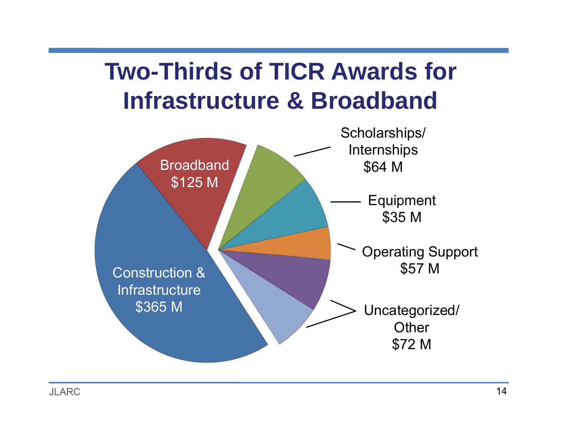# **Two-Thirds of TICR Awards for Infrastructure & Broadband**

![](_page_13_Figure_1.jpeg)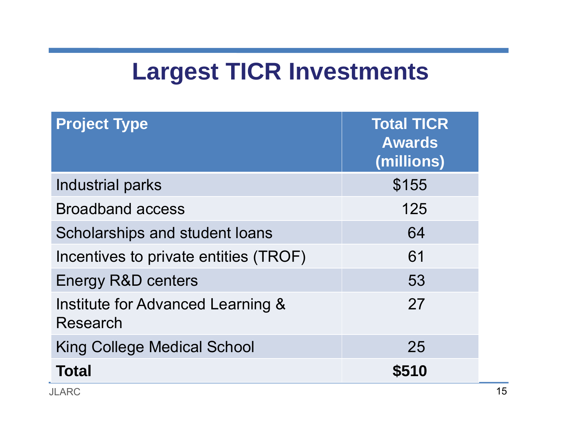#### **Largest TICR Investments**

| <b>Project Type</b>                           | <b>Total TICR</b><br><b>Awards</b><br>(millions) |
|-----------------------------------------------|--------------------------------------------------|
| <b>Industrial parks</b>                       | \$155                                            |
| <b>Broadband access</b>                       | 125                                              |
| Scholarships and student loans                | 64                                               |
| Incentives to private entities (TROF)         | 61                                               |
| <b>Energy R&amp;D centers</b>                 | 53                                               |
| Institute for Advanced Learning &<br>Research | 27                                               |
| <b>King College Medical School</b>            | 25                                               |
| Total                                         | \$510                                            |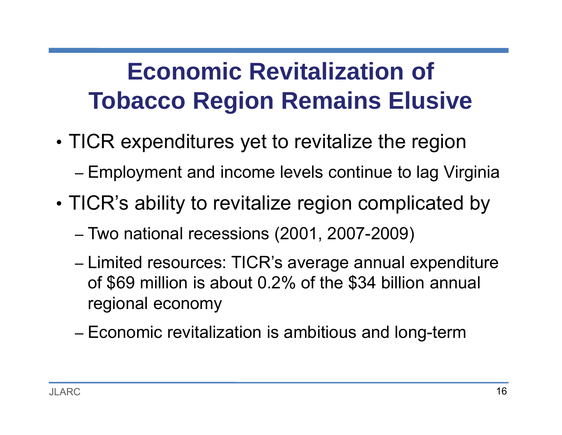# **Economic Revitalization of Tobacco Region Remains Elusive**

- • TICR expenditures yet to revitalize the region Employment and income levels continue to lag Virginia
- • TICR's ability to revitalize region complicated by
	- –Two national recessions (2001, 2007-2009)
	- –– Limited resources: TICR's average annual expenditure of \$69 million is about 0.2% of the \$34 billion annual regional economy
	- –Economic revitalization is ambitious and long-term

–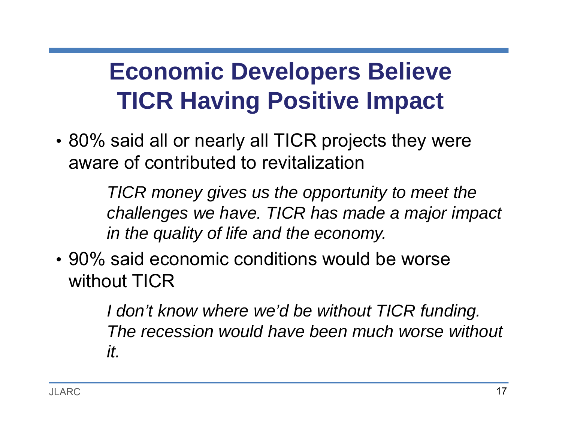# **Economic Developers Believe TICR Having Positive Impact**

• 80% said all or nearly all TICR projects they were aware of contributed to revitalization

> *TICR money gives us the opportunity to meet the challenges we have. TICR has made a major impact in the quality of life and the economy.*

• 90% said economic conditions would be worse without TICR

> *I don't know where we'd be without TICR funding. The recession would have been much worse without it.*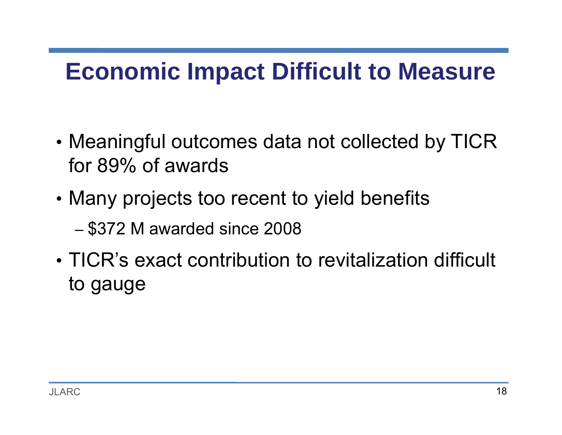#### **Economic Impact Difficult to Measure**

- • Meaningful outcomes data not collected by TICR for 89% of awards
- • Many projects too recent to yield benefits – \$372 M awarded since 2008
- TICR's exact contribution to revitalization difficult to gauge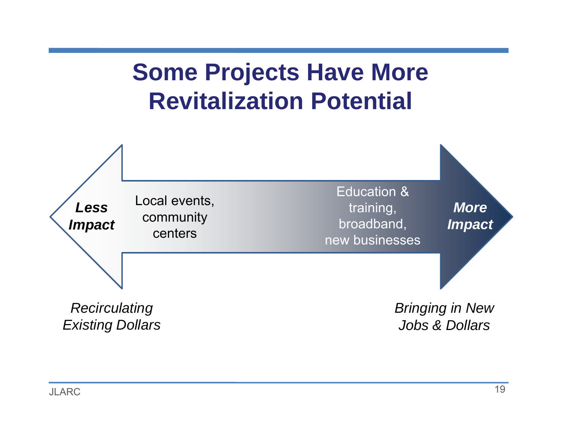## **Some Projects Have More Revitalization Potential**

![](_page_18_Figure_1.jpeg)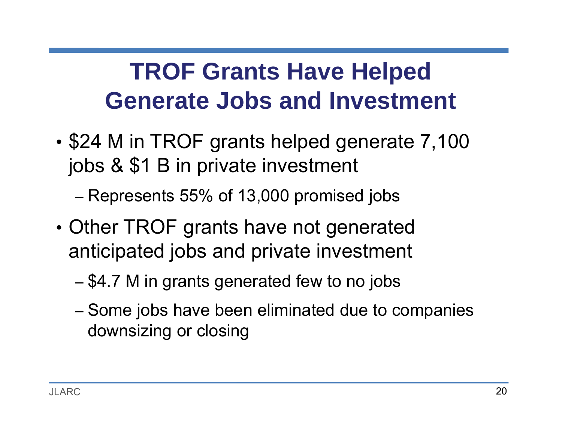# **TROF Grants Have Helped Generate Jobs and Investment**

• \$24 M in TROF grants helped generate 7,100 jobs & \$1 B in private investment

–Represents 55% of 13,000 promised jobs

- • Other TROF grants have not generated anticipated jobs and private investment
	- –\$4.7 M in grants generated few to no jobs
	- –– Some jobs have been eliminated due to companies downsizing or closing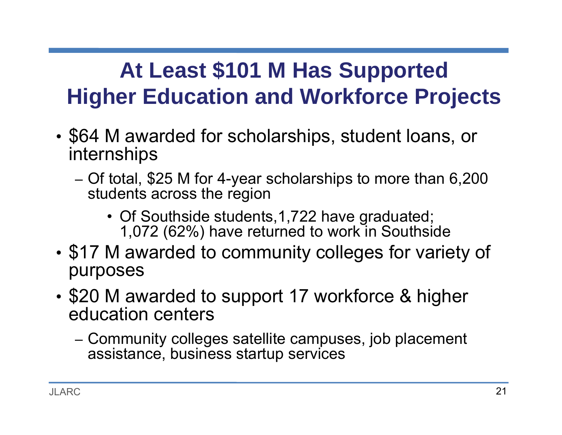#### **At Least \$101 M Has Supported Higher Education and Workforce Projects**

- • \$64 M awarded for scholarships, student loans, or internships
	- – Of total, \$25 M for 4-year scholarships to more than 6,200 students across the region
		- Of Southside students,1,722 have graduated; 1,072 (62%) have returned to work in Southside
- • \$17 M awarded to community colleges for variety of purposes
- • \$20 M awarded to support 17 workforce & higher education centers
	- – Community colleges satellite campuses, job placement assistance, business startup services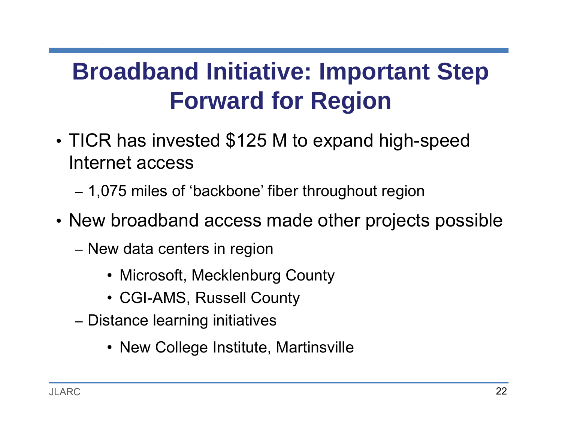# **Broadband Initiative: Important Step Forward for Region**

- • TICR has invested \$125 M to expand high-speed Internet access
	- –1,075 miles of 'backbone' fiber throughout region
- New broadband access made other projects possible
	- –– New data centers in region
		- Microsoft, Mecklenburg County
		- CGI-AMS, Russell County
	- –– Distance learning initiatives
		- New College Institute, Martinsville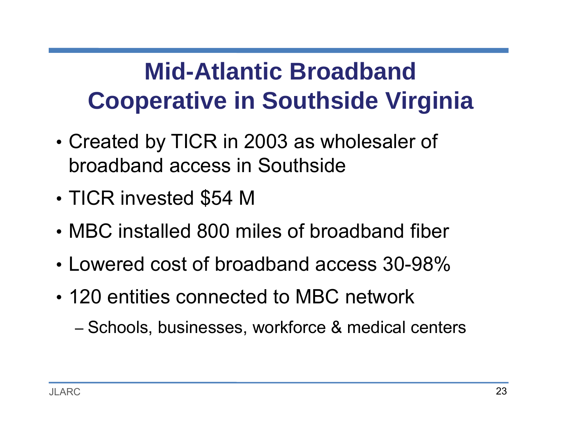# **Mid-Atlantic Broadband Cooperative in Southside Virginia**

- • Created by TICR in 2003 as wholesaler of broadband access in Southside
- •TICR invested \$54 M
- MBC installed 800 miles of broadband fiber
- Lowered cost of broadband access 30-98%
- 120 entities connected to MBC network

–– Schools, businesses, workforce & medical centers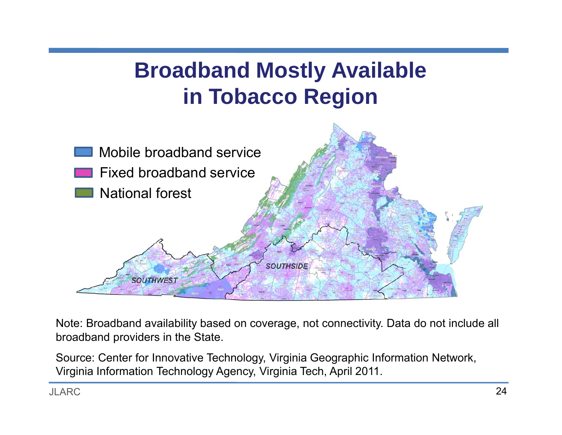#### **Broadband Mostly Available in Tobacco Region**

![](_page_23_Figure_1.jpeg)

Note: Broadband availability based on coverage, not connectivity. Data do not include all broadband providers in the State.

Source: Center for Innovative Technology, Virginia Geographic Information Network, Virginia Information Technology Agency, Virginia Tech, April 2011.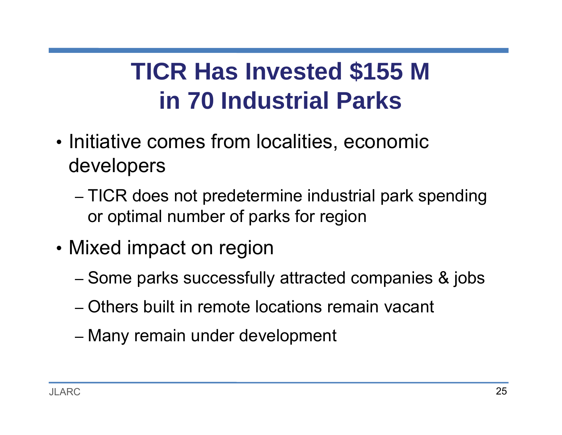# **TICR Has Invested \$155 M in 70 Industrial Parks**

- •• Initiative comes from localities, economic developers
	- – TICR does not predetermine industrial park spending or optimal number of parks for region
- •• Mixed impact on region
	- –– Some parks successfully attracted companies & jobs
	- Others built in remote locations remain vacant
	- –– Many remain under development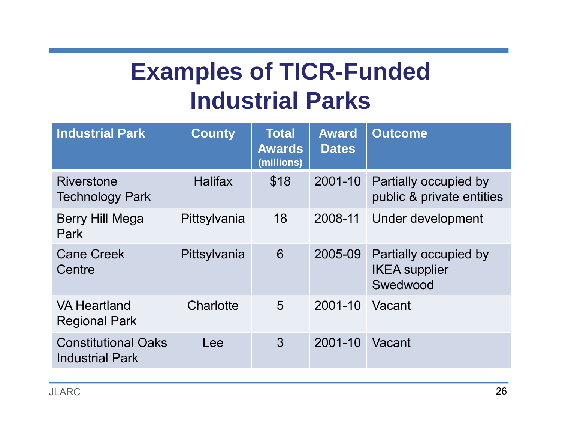# **Examples of TICR-Funded Industrial Parks**

| <b>Industrial Park</b>                               | <b>County</b>  | <b>Total</b><br><b>Awards</b><br>(millions) | <b>Award</b><br><b>Dates</b> | <b>Outcome</b>                                            |
|------------------------------------------------------|----------------|---------------------------------------------|------------------------------|-----------------------------------------------------------|
| <b>Riverstone</b><br><b>Technology Park</b>          | <b>Halifax</b> | \$18                                        | 2001-10                      | Partially occupied by<br>public & private entities        |
| Berry Hill Mega<br>Park                              | Pittsylvania   | 18                                          | 2008-11                      | Under development                                         |
| <b>Cane Creek</b><br>Centre                          | Pittsylvania   | 6                                           | 2005-09                      | Partially occupied by<br><b>IKEA</b> supplier<br>Swedwood |
| <b>VA Heartland</b><br><b>Regional Park</b>          | Charlotte      | 5                                           | 2001-10                      | Vacant                                                    |
| <b>Constitutional Oaks</b><br><b>Industrial Park</b> | Lee            | 3                                           | 2001-10                      | Vacant                                                    |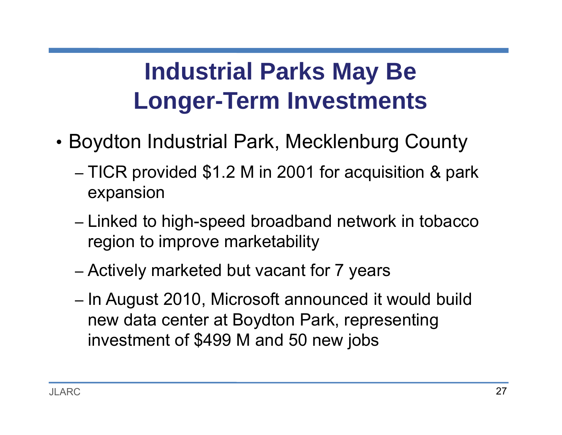# **Industrial Parks May Be Longer-Term Investments**

- • Boydton Industrial Park, Mecklenburg County
	- – TICR provided \$1.2 M in 2001 for acquisition & park expansion
	- –– Linked to high-speed broadband network in tobacco region to improve marketability
	- –Actively marketed but vacant for 7 years
	- –– In August 2010, Microsoft announced it would build new data center at Boydton Park, representing investment of \$499 M and 50 new jobs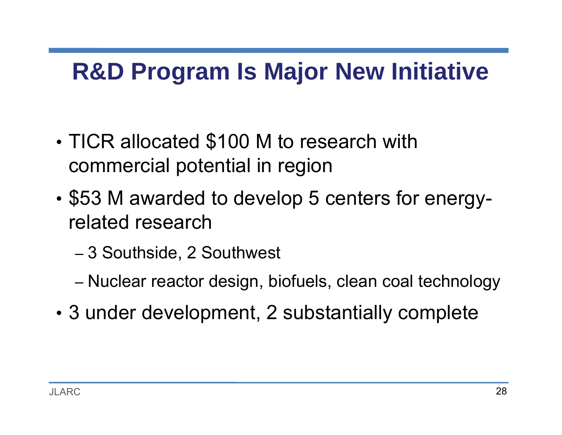## **R&D Program Is Major New Initiative**

- • TICR allocated \$100 M to research with commercial potential in region
- • \$53 M awarded to develop 5 centers for energyrelated research
	- –3 Southside, 2 Southwest
	- –Nuclear reactor design, biofuels, clean coal technology
- •3 under development, 2 substantially complete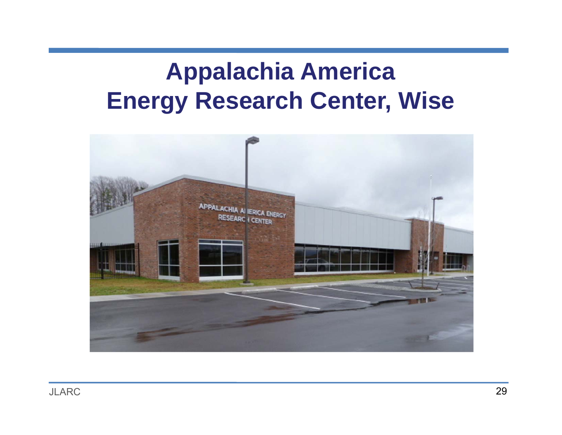## **Appalachia America Energy Research Center, Wise**

![](_page_28_Picture_1.jpeg)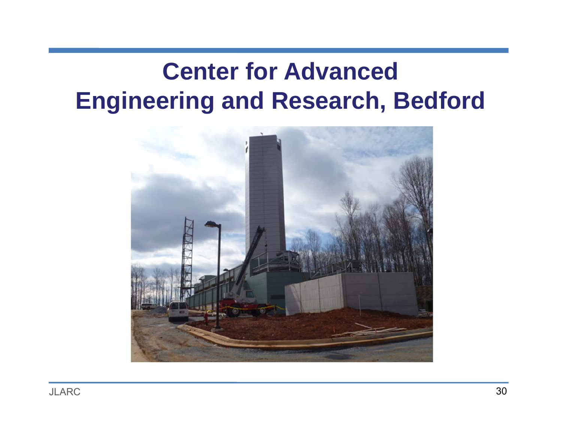## **Center for Advanced Engineering and Research, Bedford**

![](_page_29_Picture_1.jpeg)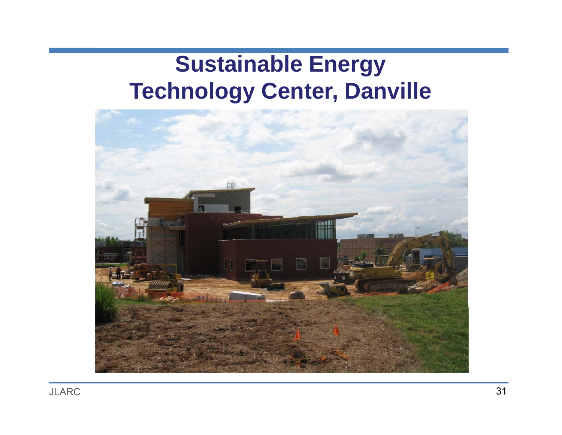#### **Sustainable Energy Technology Center, Danville**

![](_page_30_Picture_1.jpeg)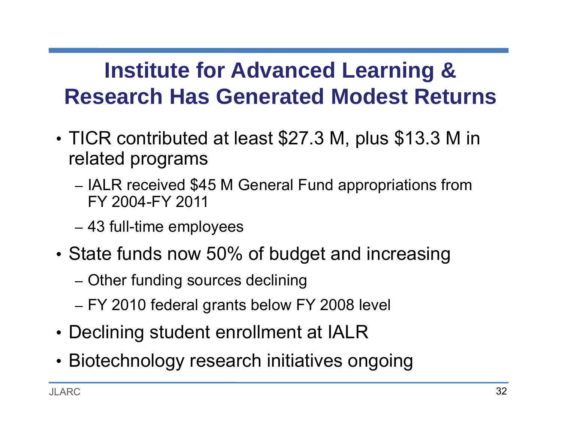#### **Institute for Advanced Learning & Research Has Generated Modest Returns**

- • TICR contributed at least \$27.3 M, plus \$13.3 M in related programs
	- –– IALR received \$45 M General Fund appropriations from FY 2004-FY 2011
	- –43 full-time employees
- State funds now 50% of budget and increasing
	- –Other funding sources declining
	- –FY 2010 federal grants below FY 2008 level
- Declining student enrollment at IALR
- Biotechnology research initiatives ongoing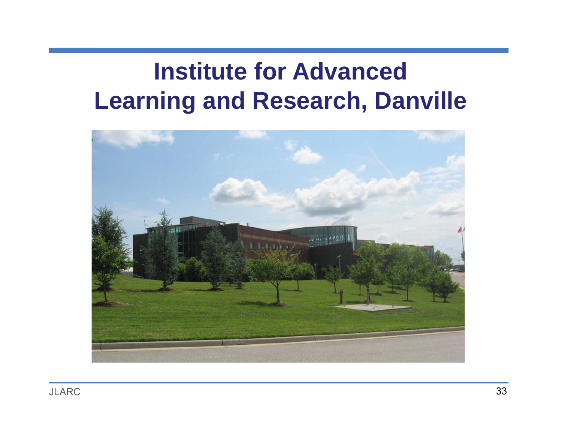## **Institute for Advanced Learning and Research, Danville**

![](_page_32_Picture_1.jpeg)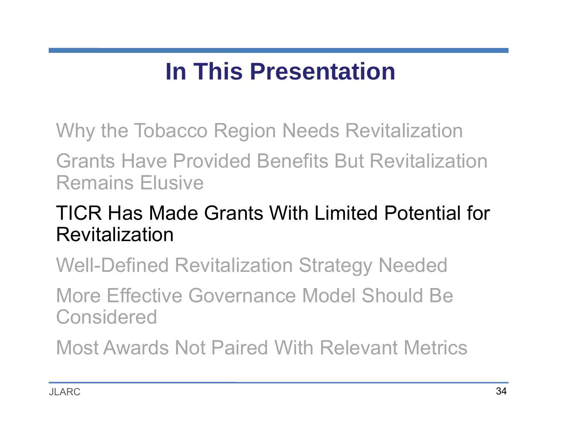# **In This Presentation**

Why the Tobacco Region Needs Revitalization

Grants Have Provided Benefits But Revitalization Remains Elusive

#### TICR Has Made Grants With Limited Potential for Revitalization

Well-Defined Revitalization Strategy Needed

More Effective Governance Model Should Be **Considered** 

Most Awards Not Paired With Relevant Metrics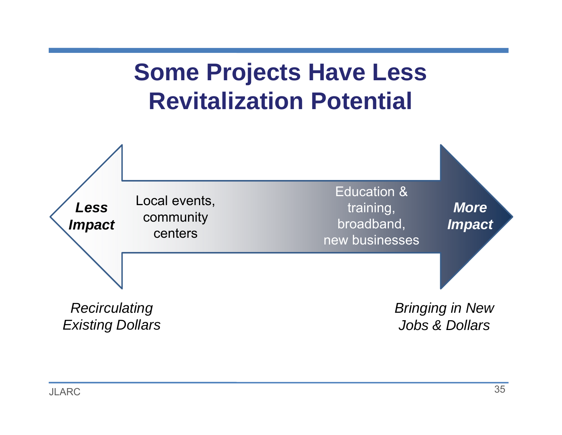## **Some Projects Have Less Revitalization Potential**

![](_page_34_Figure_1.jpeg)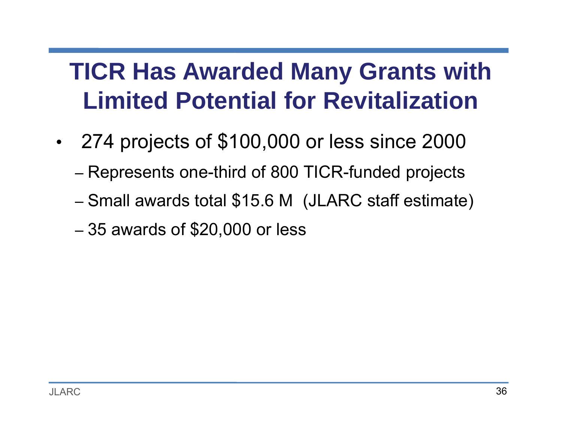# **TICR Has Awarded Many Grants with Limited Potential for Revitalization**

- • 274 projects of \$100,000 or less since 2000
	- –Represents one-third of 800 TICR-funded projects
	- –Small awards total \$15.6 M (JLARC staff estimate)
	- –35 awards of \$20,000 or less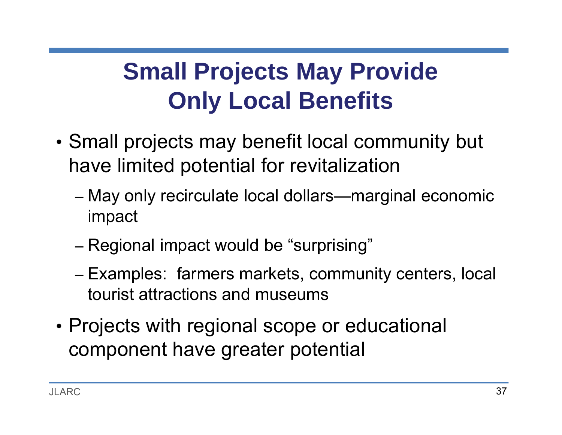## **Small Projects May Provide Only Local Benefits**

- • Small projects may benefit local community but have limited potential for revitalization
	- – May only recirculate local dollars—marginal economic impact
	- –– Regional impact would be "surprising"
	- – Examples: farmers markets, community centers, local tourist attractions and museums
- • Projects with regional scope or educational component have greater potential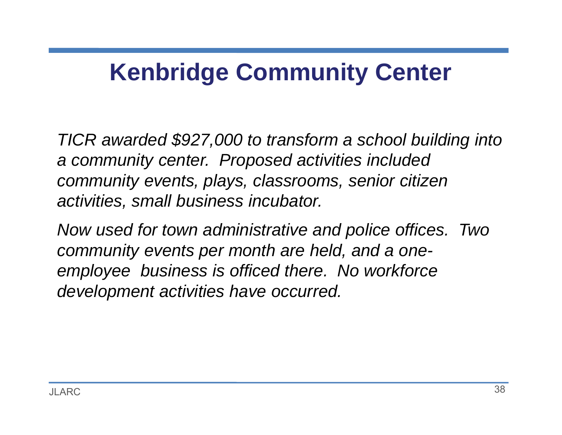### **Kenbridge Community Center**

*TICR awarded \$927,000 to transform a school building into a community center. Proposed activities included community events, plays, classrooms, senior citizen activities, small business incubator.* 

*Now used for town administrative and police offices. Two community events per month are held, and a oneemployee business is officed there. No workforce development activities have occurred.*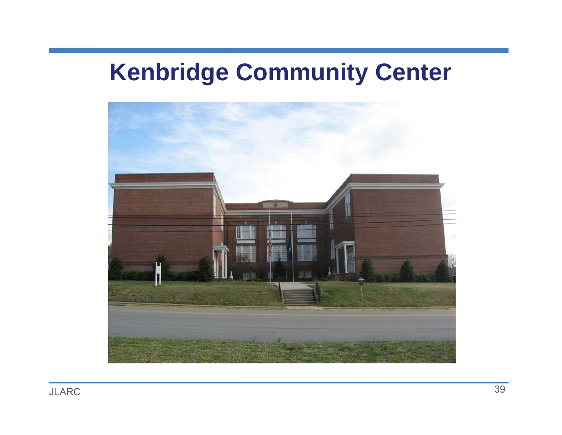### **Kenbridge Community Center**

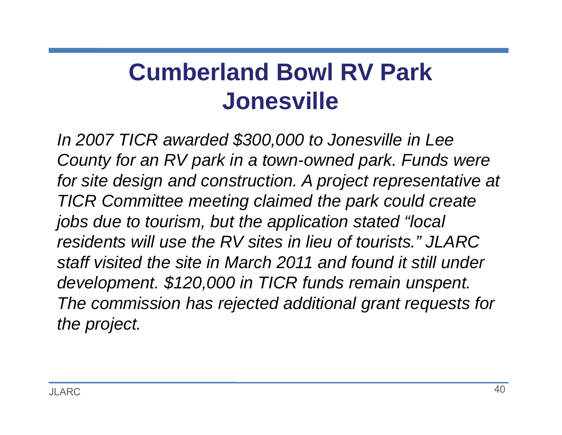## **Cumberland Bowl RV Park Jonesville**

*In 2007 TICR awarded \$300,000 to Jonesville in Lee County for an RV park in a town-owned park. Funds were*  for site design and construction. A project representative at *TICR Committee meeting claimed the park could create jobs due to tourism, but the application stated "local residents will use the RV sites in lieu of tourists." JLARC staff visited the site in March 2011 and found it still under development. \$120,000 in TICR funds remain unspent. The commission has rejected additional grant requests for the project.*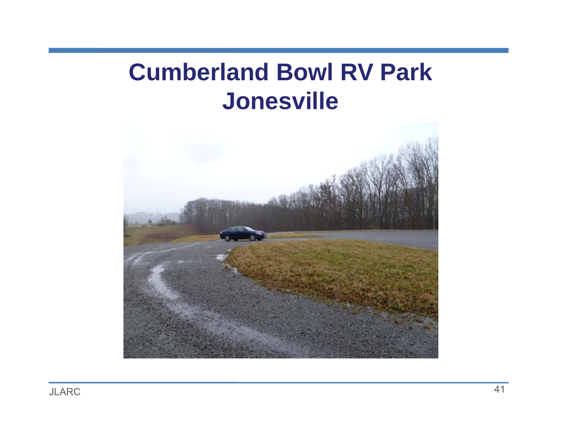### **Cumberland Bowl RV Park Jonesville**

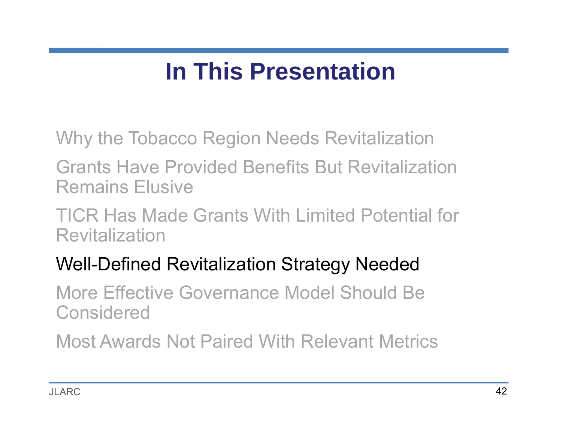## **In This Presentation**

Why the Tobacco Region Needs Revitalization

Grants Have Provided Benefits But Revitalization Remains Elusive

TICR Has Made Grants With Limited Potential for Revitalization

#### Well-Defined Revitalization Strategy Needed

More Effective Governance Model Should Be Considered

Most Awards Not Paired With Relevant Metrics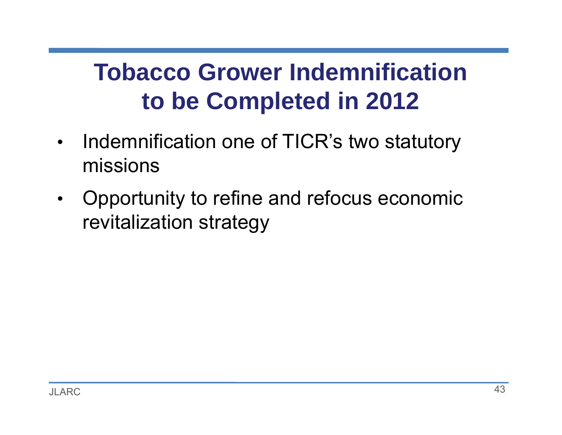## **Tobacco Grower Indemnification to be Completed in 2012**

- • Indemnification one of TICR's two statutory missions
- $\bullet$  Opportunity to refine and refocus economic revitalization strategy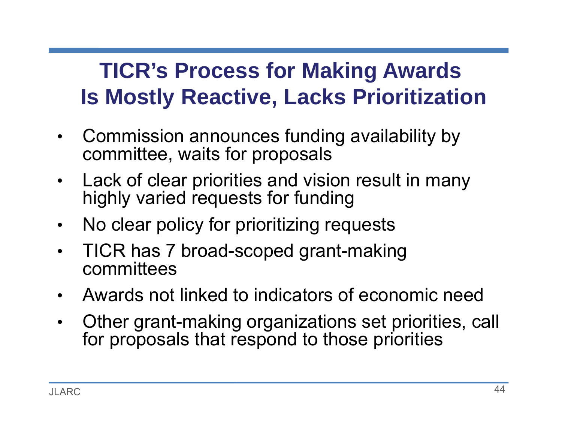#### **TICR's Process for Making Awards Is Mostly Reactive, Lacks Prioritization**

- • Commission announces funding availability by committee, waits for proposals
- $\bullet$  Lack of clear priorities and vision result in many highly varied requests for funding
- $\bullet$ No clear policy for prioritizing requests
- • TICR has 7 broad-scoped grant-making committees
- •Awards not linked to indicators of economic need
- • Other grant-making organizations set priorities, call for proposals that respond to those priorities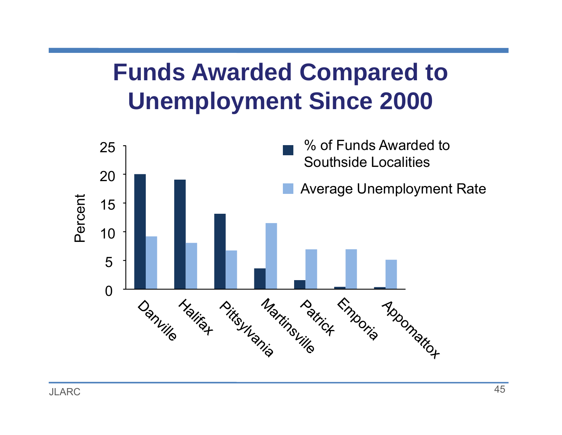## **Funds Awarded Compared to Unemployment Since 2000**

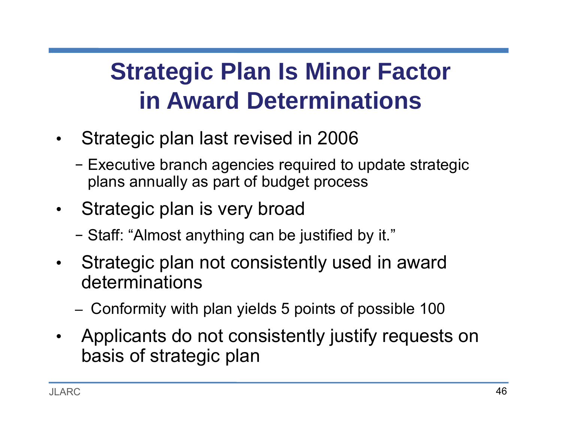## **Strategic Plan Is Minor Factor in Award Determinations**

- $\bullet$  Strategic plan last revised in 2006
	- − Executive branch agencies required to update strategic plans annually as part of budget process
- $\bullet$  Strategic plan is very broad
	- −Staff: "Almost anything can be justified by it."
- $\bullet$  Strategic plan not consistently used in award determinations
	- –Conformity with plan yields 5 points of possible 100
- $\bullet$  Applicants do not consistently justify requests on basis of strategic plan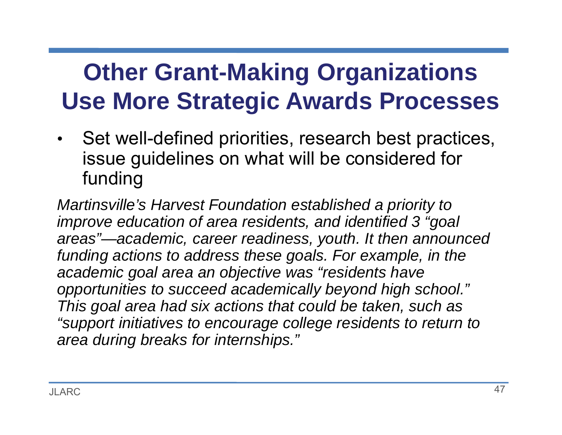## **Other Grant-Making Organizations Use More Strategic Awards Processes**

• Set well-defined priorities, research best practices, issue guidelines on what will be considered for funding

*Martinsville's Harvest Foundation established a priority to improve education of area residents, and identified 3 "goal areas"—academic, career readiness, youth. It then announced funding actions to address these goals. For example, in the academic goal area an objective was "residents have opportunities to succeed academically beyond high school." This goal area had six actions that could be taken, such as "support initiatives to encourage college residents to return to area during breaks for internships."*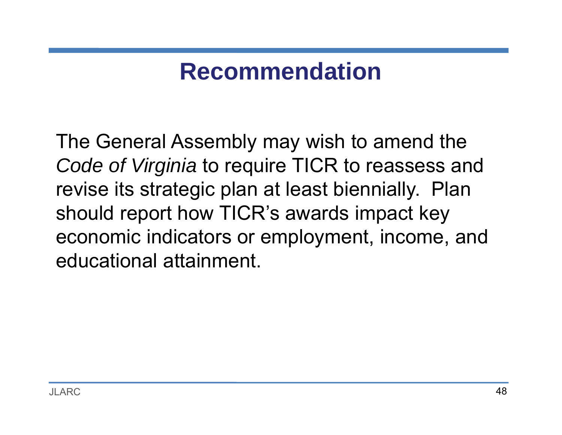### **Recommendation**

The General Assembly may wish to amend the *Code of Virginia* to require TICR to reassess and revise its strategic plan at least biennially. Plan should report how TICR's awards impact key economic indicators or employment, income, and educational attainment.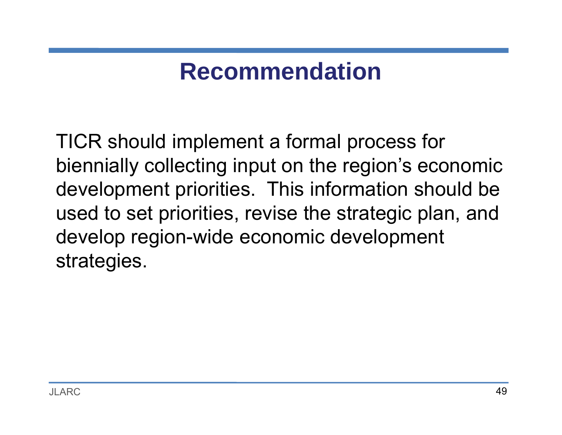### **Recommendation**

TICR should implement a formal process for biennially collecting input on the region's economic development priorities. This information should be used to set priorities, revise the strategic plan, and develop region-wide economic development strategies.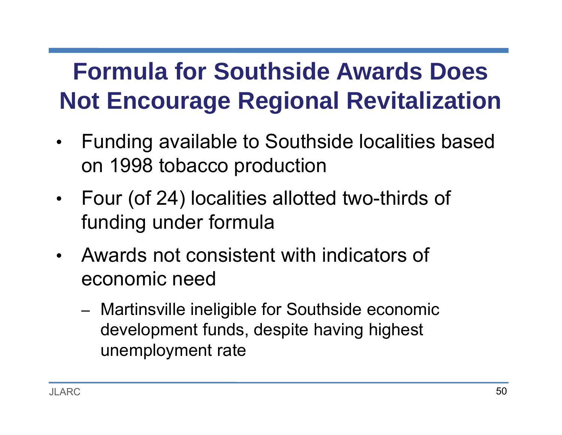# **Formula for Southside Awards Does Not Encourage Regional Revitalization**

- • Funding available to Southside localities based on 1998 tobacco production
- • Four (of 24) localities allotted two-thirds of funding under formula
- Awards not consistent with indicators of economic need
	- – Martinsville ineligible for Southside economic development funds, despite having highest unemployment rate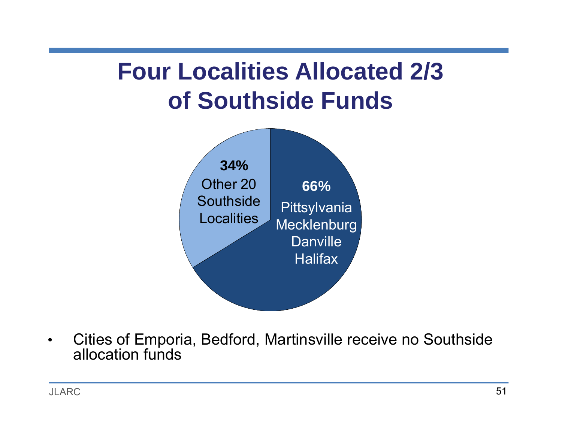## **Four Localities Allocated 2/3 of Southside Funds**



 $\bullet$  Cities of Emporia, Bedford, Martinsville receive no Southside allocation funds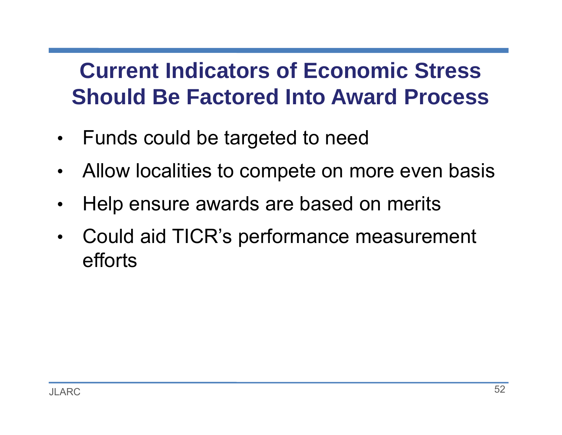#### **Current Indicators of Economic Stress Should Be Factored Into Award Process**

- $\bullet$ Funds could be targeted to need
- •Allow localities to compete on more even basis
- •Help ensure awards are based on merits
- $\bullet$  Could aid TICR's performance measurement efforts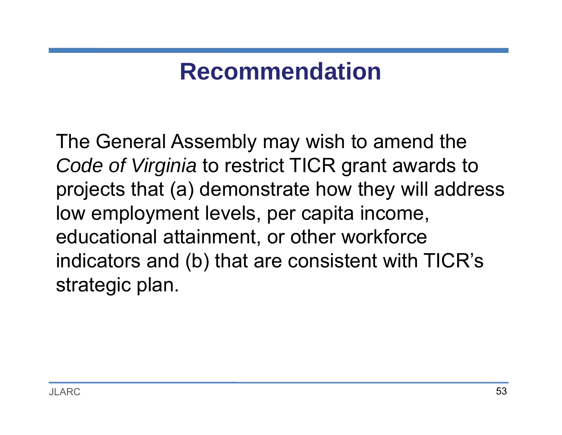### **Recommendation**

The General Assembly may wish to amend the *Code of Virginia* to restrict TICR grant awards to projects that (a) demonstrate how they will address low employment levels, per capita income, educational attainment, or other workforce indicators and (b) that are consistent with TICR's strategic plan.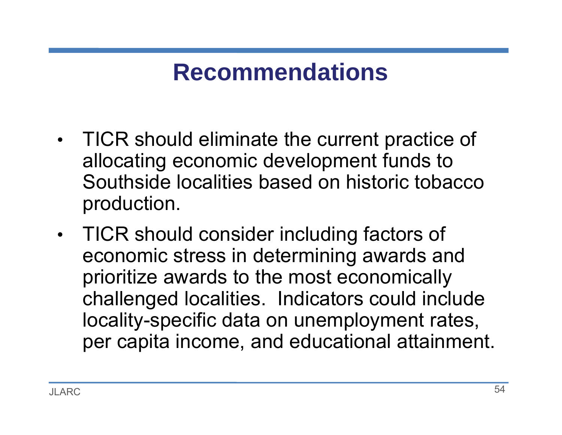### **Recommendations**

- $\bullet$  TICR should eliminate the current practice of allocating economic development funds to Southside localities based on historic tobacco production.
- $\bullet$  TICR should consider including factors of economic stress in determining awards and prioritize awards to the most economically challenged localities. Indicators could include locality-specific data on unemployment rates, per capita income, and educational attainment.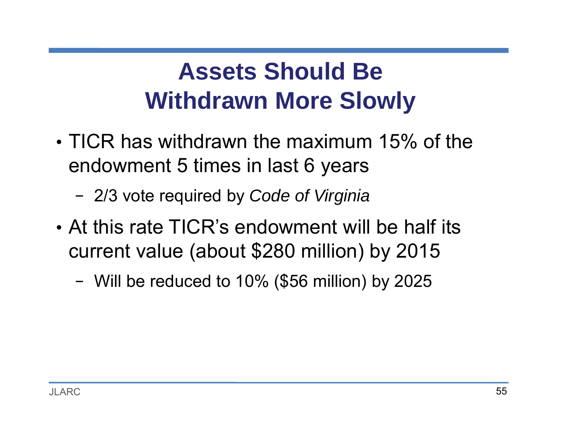## **Assets Should Be Withdrawn More Slowly**

- TICR has withdrawn the maximum 15% of the endowment 5 times in last 6 years
	- −2/3 vote required by *Code of Virginia*
- At this rate TICR's endowment will be half its current value (about \$280 million) by 2015
	- Will be reduced to 10% (\$56 million) by 2025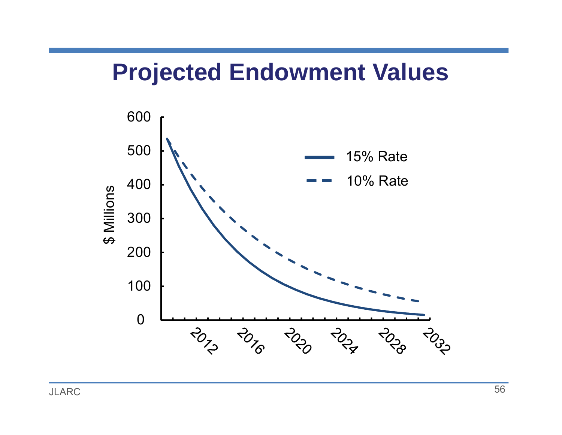#### **Projected Endowment Values**

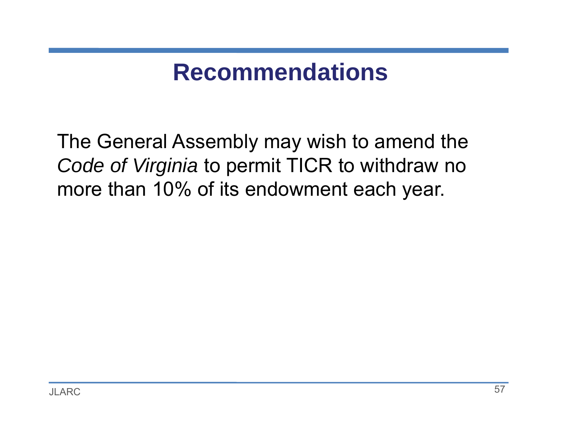### **Recommendations**

The General Assembly may wish to amend the *Code of Virginia* to permit TICR to withdraw no more than 10% of its endowment each year.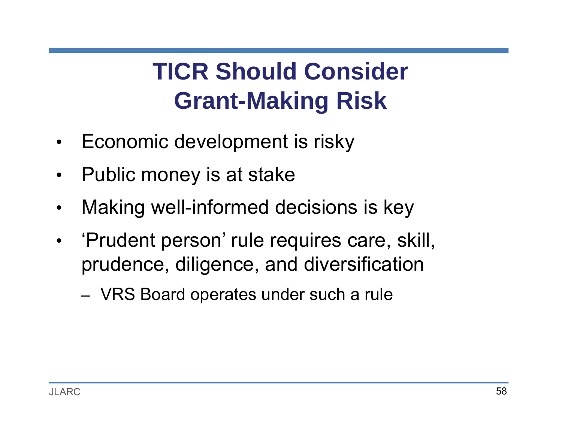# **TICR Should Consider Grant-Making Risk**

- $\bullet$ Economic development is risky
- $\bullet$ Public money is at stake
- $\bullet$ Making well-informed decisions is key
- •• 'Prudent person' rule requires care, skill, prudence, diligence, and diversification
	- –VRS Board operates under such a rule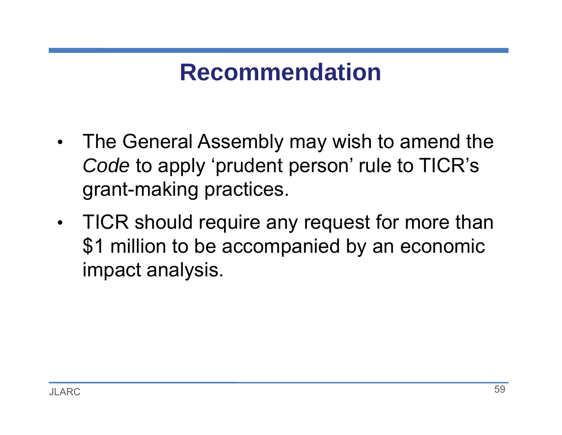### **Recommendation**

- • The General Assembly may wish to amend the *Code* to apply 'prudent person' rule to TICR's grant-making practices.
- $\bullet$  TICR should require any request for more than \$1 million to be accompanied by an economic impact analysis.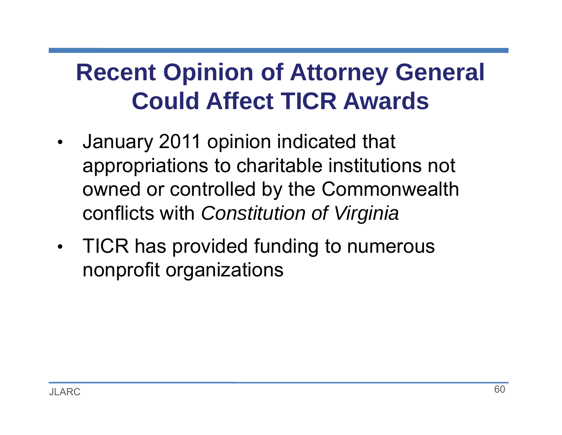## **Recent Opinion of Attorney General Could Affect TICR Awards**

- • January 2011 opinion indicated that appropriations to charitable institutions not owned or controlled by the Commonwealth conflicts with *Constitution of Virginia*
- $\bullet$  TICR has provided funding to numerous nonprofit organizations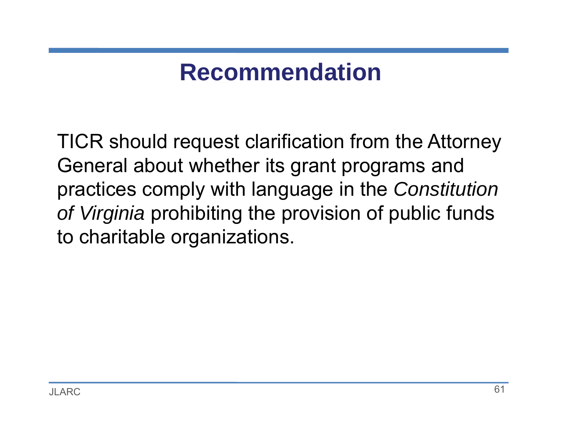### **Recommendation**

TICR should request clarification from the Attorney General about whether its grant programs and practices comply with language in the *Constitution of Virginia* prohibiting the provision of public funds to charitable organizations.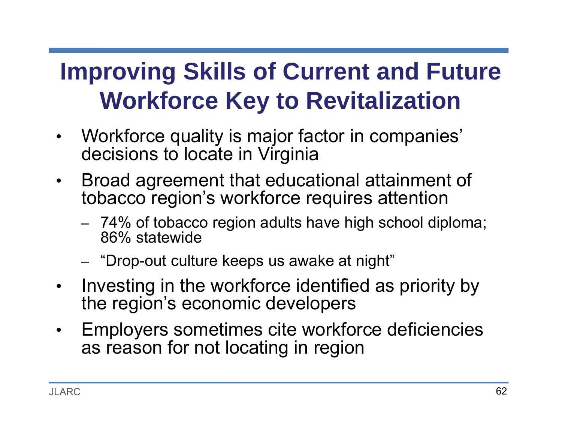## **Improving Skills of Current and Future Workforce Key to Revitalization**

- $\bullet$  Workforce quality is major factor in companies' decisions to locate in Virginia
- $\bullet$  Broad agreement that educational attainment of tobacco region's workforce requires attention
	- – 74% of tobacco region adults have high school diploma; 86% statewide
	- –"Drop-out culture keeps us awake at night"
- $\bullet$  Investing in the workforce identified as priority by the region's economic developers
- $\bullet$  Employers sometimes cite workforce deficiencies as reason for not locating in region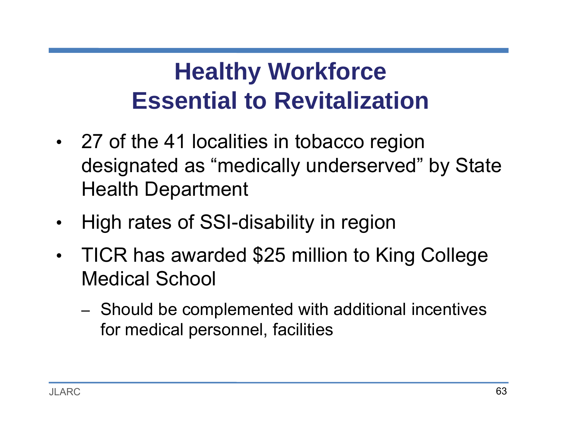# **Healthy Workforce Essential to Revitalization**

- • 27 of the 41 localities in tobacco region designated as "medically underserved" by State Health Department
- •High rates of SSI-disability in region
- • TICR has awarded \$25 million to King College Medical School
	- – Should be complemented with additional incentives for medical personnel, facilities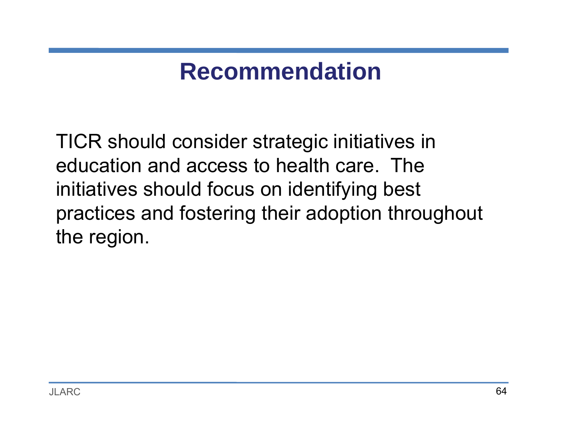### **Recommendation**

TICR should consider strategic initiatives in education and access to health care. The initiatives should focus on identifying best practices and fostering their adoption throughout the region.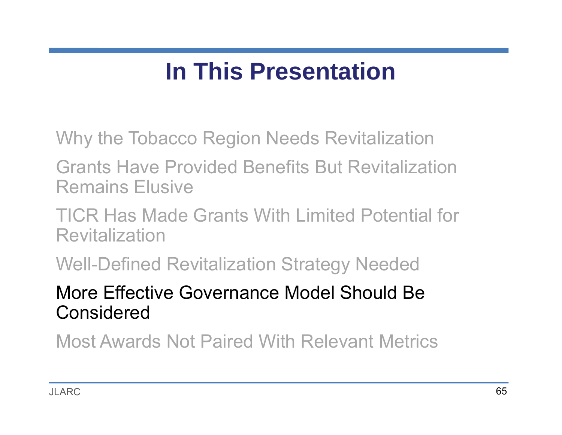### **In This Presentation**

Why the Tobacco Region Needs Revitalization

Grants Have Provided Benefits But Revitalization Remains Elusive

TICR Has Made Grants With Limited Potential for Revitalization

Well-Defined Revitalization Strategy Needed

More Effective Governance Model Should Be Considered

Most Awards Not Paired With Relevant Metrics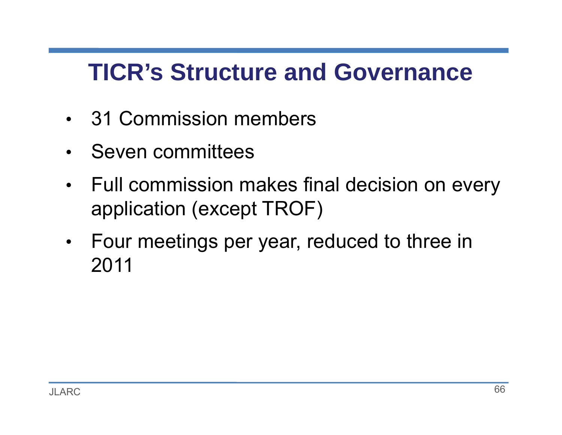### **TICR's Structure and Governance**

- 31 Commission members
- Seven committees
- • Full commission makes final decision on every application (except TROF)
- • Four meetings per year, reduced to three in 2011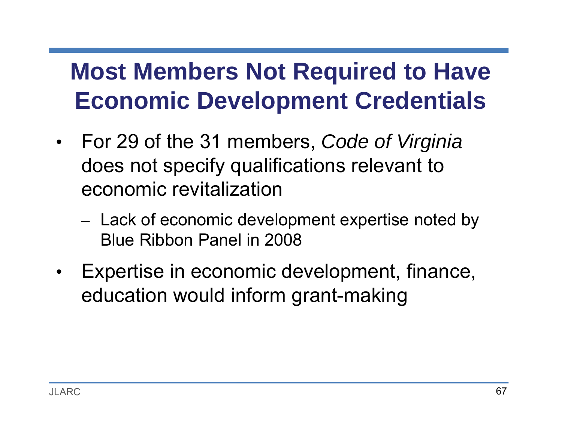## **Most Members Not Required to Have Economic Development Credentials**

- • For 29 of the 31 members, *Code of Virginia*  does not specify qualifications relevant to economic revitalization
	- –– Lack of economic development expertise noted by Blue Ribbon Panel in 2008
- $\bullet$  Expertise in economic development, finance, education would inform grant-making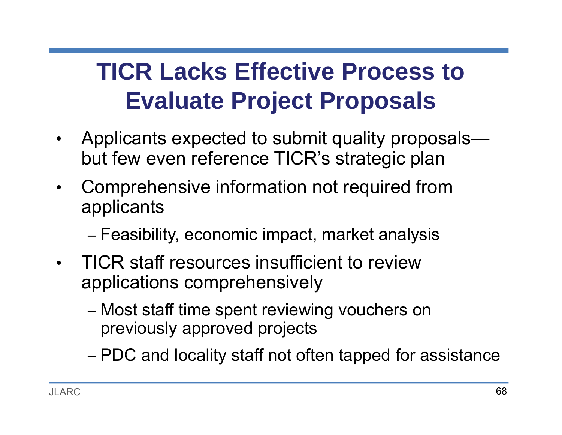## **TICR Lacks Effective Process to Evaluate Project Proposals**

- $\bullet$  Applicants expected to submit quality proposals but few even reference TICR's strategic plan
- $\bullet$  Comprehensive information not required from applicants
	- –Feasibility, economic impact, market analysis
- TICR staff resources insufficient to review applications comprehensively
	- – Most staff time spent reviewing vouchers on previously approved projects
	- –PDC and locality staff not often tapped for assistance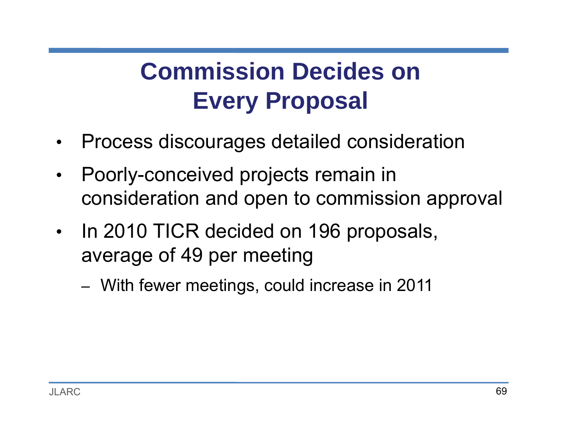## **Commission Decides on Every Proposal**

- •Process discourages detailed consideration
- $\bullet$  Poorly-conceived projects remain in consideration and open to commission approval
- $\bullet$  In 2010 TICR decided on 196 proposals, average of 49 per meeting
	- –With fewer meetings, could increase in 2011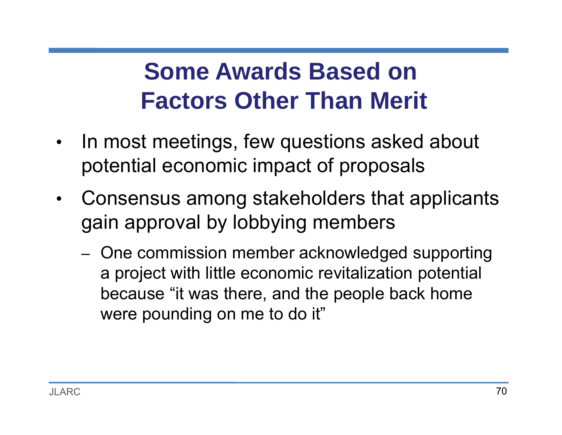## **Some Awards Based on Factors Other Than Merit**

- • In most meetings, few questions asked about potential economic impact of proposals
- • Consensus among stakeholders that applicants gain approval by lobbying members
	- –- One commission member acknowledged supporting a project with little economic revitalization potential because "it was there, and the people back home were pounding on me to do it"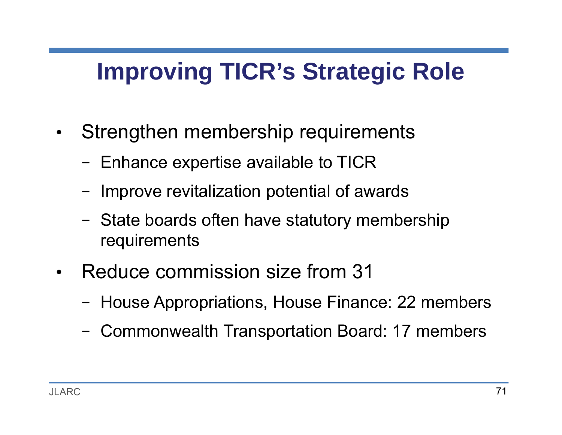## **Improving TICR's Strategic Role**

- $\bullet$  Strengthen membership requirements
	- −- Enhance expertise available to TICR
	- −Improve revitalization potential of awards
	- −- State boards often have statutory membership requirements
- $\bullet$  Reduce commission size from 31
	- House Appropriations, House Finance: 22 members
	- Commonwealth Transportation Board: 17 members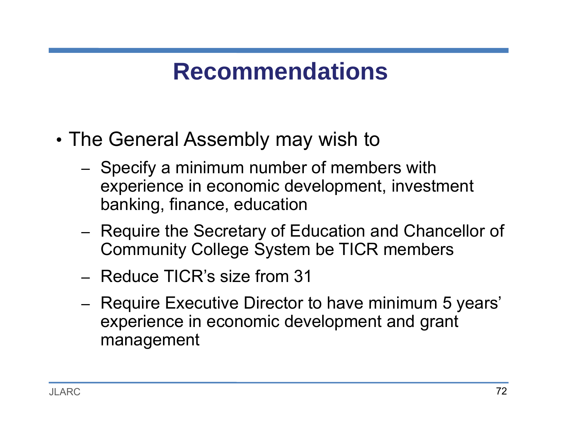### **Recommendations**

- • The General Assembly may wish to
	- –- Specify a minimum number of members with experience in economic development, investment banking, finance, education
	- – Require the Secretary of Education and Chancellor of Community College System be TICR members
	- Reduce TICR's size from 31
	- –– Require Executive Director to have minimum 5 years' experience in economic development and grant management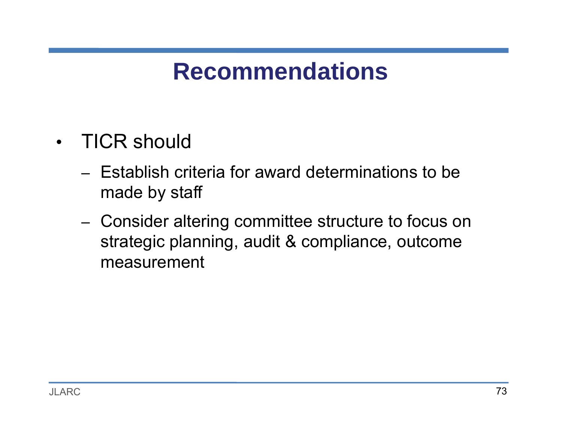- TICR should
	- Establish criteria for award determinations to be made by staff
	- – Consider altering committee structure to focus on strategic planning, audit & compliance, outcome measurement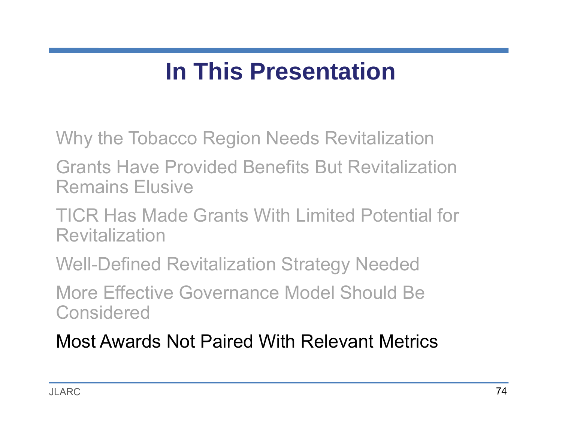#### **In This Presentation**

Why the Tobacco Region Needs Revitalization

Grants Have Provided Benefits But Revitalization Remains Elusive

TICR Has Made Grants With Limited Potential for Revitalization

Well-Defined Revitalization Strategy Needed

More Effective Governance Model Should Be **Considered** 

Most Awards Not Paired With Relevant Metrics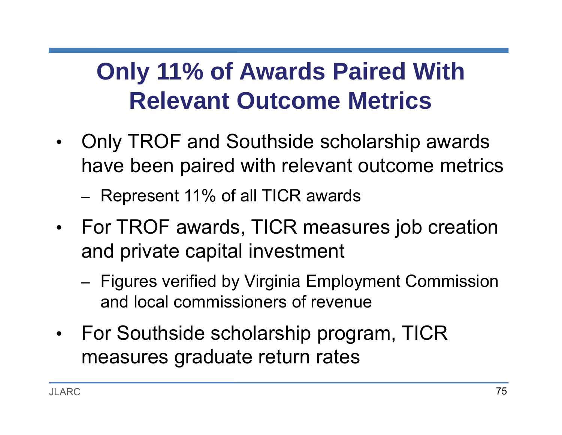## **Only 11% of Awards Paired With Relevant Outcome Metrics**

 $\bullet$  Only TROF and Southside scholarship awards have been paired with relevant outcome metrics

–Represent 11% of all TICR awards

- • For TROF awards, TICR measures job creation and private capital investment
	- –- Figures verified by Virginia Employment Commission and local commissioners of revenue
- •• For Southside scholarship program, TICR measures graduate return rates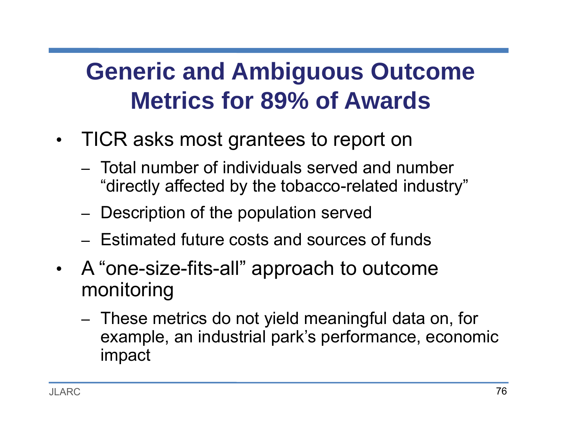## **Generic and Ambiguous Outcome Metrics for 89% of Awards**

- • TICR asks most grantees to report on
	- Total number of individuals served and number "directly affected by the tobacco-related industry"
	- –- Description of the population served
	- Estimated future costs and sources of funds
- • A "one-size-fits-all" approach to outcome monitoring
	- – These metrics do not yield meaningful data on, for example, an industrial park's performance, economic impact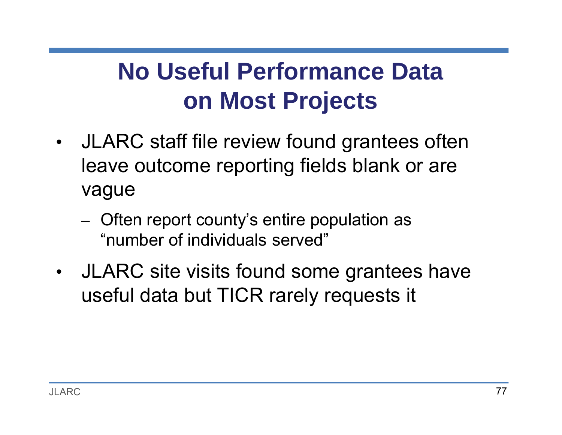## **No Useful Performance Data on Most Projects**

- $\bullet$  JLARC staff file review found grantees often leave outcome reporting fields blank or are vague
	- –– Often report county's entire population as "number of individuals served"
- $\bullet$  JLARC site visits found some grantees have useful data but TICR rarely requests it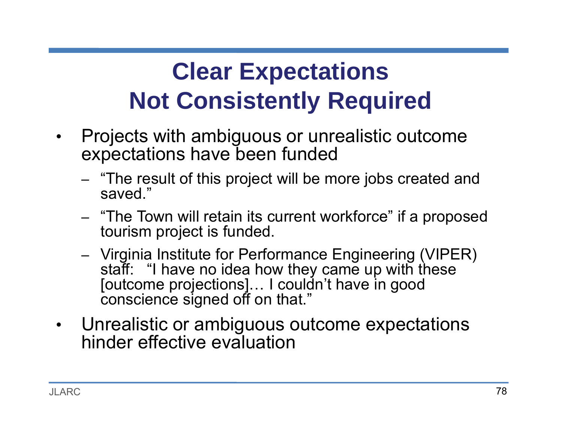# **Clear Expectations Not Consistently Required**

- $\bullet$  Projects with ambiguous or unrealistic outcome expectations have been funded
	- –– "The result of this project will be more jobs created and saved."
	- –- "The Town will retain its current workforce" if a proposed tourism project is funded.
	- – Virginia Institute for Performance Engineering (VIPER) staff: "I have no idea how they came up with these [outcome projections]… I couldn't have in good conscience signed off on that."
- $\bullet$  Unrealistic or ambiguous outcome expectations hinder effective evaluation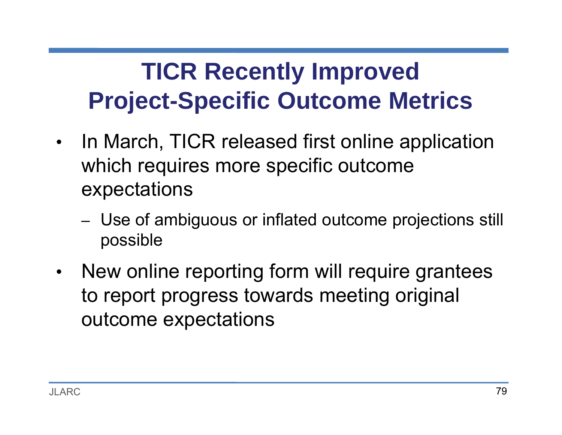## **TICR Recently Improved Project-Specific Outcome Metrics**

- $\bullet$  In March, TICR released first online application which requires more specific outcome expectations
	- – Use of ambiguous or inflated outcome projections still possible
- $\bullet$  New online reporting form will require grantees to report progress towards meeting original outcome expectations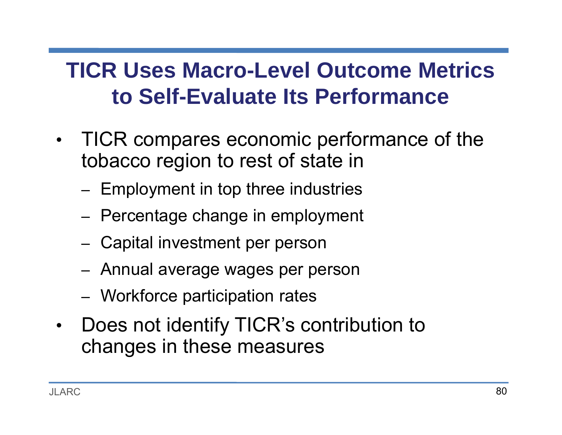#### **TICR Uses Macro-Level Outcome Metrics to Self-Evaluate Its Performance**

- $\bullet$  TICR compares economic performance of the tobacco region to rest of state in
	- –– Employment in top three industries
	- –– Percentage change in employment
	- –Capital investment per person
	- –Annual average wages per person
	- –Workforce participation rates
- $\bullet$  Does not identify TICR's contribution to changes in these measures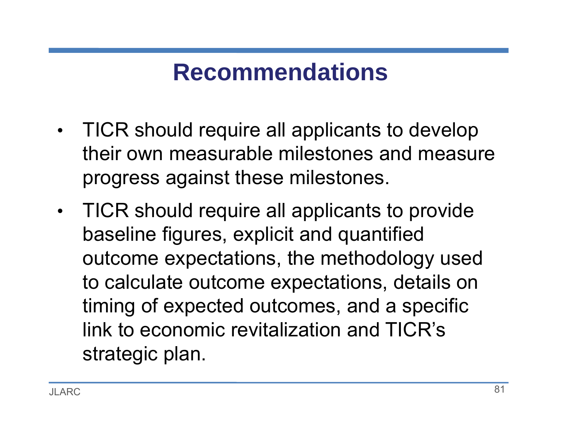- • TICR should require all applicants to develop their own measurable milestones and measure progress against these milestones.
- $\bullet$  TICR should require all applicants to provide baseline figures, explicit and quantified outcome expectations, the methodology used to calculate outcome expectations, details on timing of expected outcomes, and a specific link to economic revitalization and TICR's strategic plan.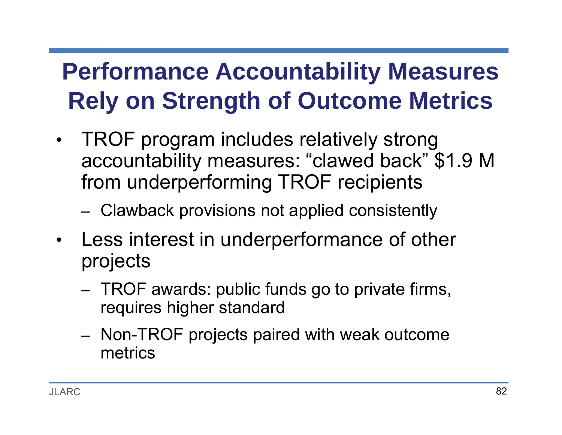## **Performance Accountability Measures Rely on Strength of Outcome Metrics**

- $\bullet$  TROF program includes relatively strong accountability measures: "clawed back" \$1.9 M from underperforming TROF recipients
	- –- Clawback provisions not applied consistently
- $\bullet$  Less interest in underperformance of other projects
	- –– TROF awards: public funds go to private firms, requires higher standard
	- –- Non-TROF projects paired with weak outcome metrics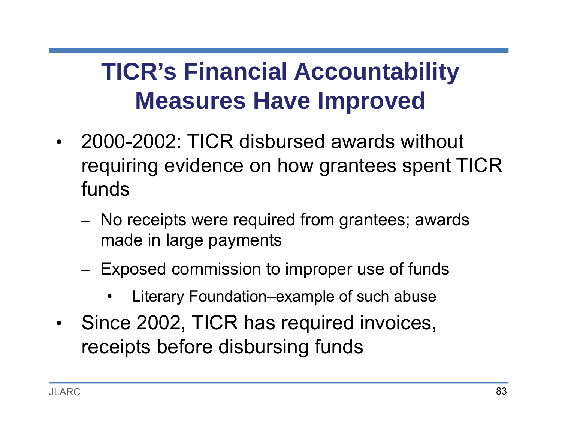## **TICR's Financial Accountability Measures Have Improved**

- • 2000-2002: TICR disbursed awards without requiring evidence on how grantees spent TICR funds
	- – No receipts were required from grantees; awards made in large payments
	- –– Exposed commission to improper use of funds
		- •Literary Foundation–example of such abuse
- •• Since 2002, TICR has required invoices, receipts before disbursing funds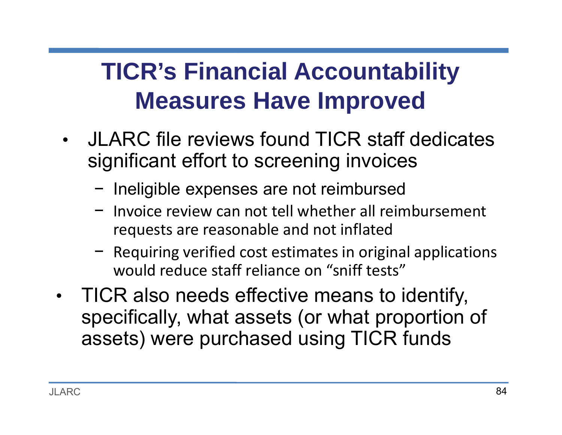## **TICR's Financial Accountability Measures Have Improved**

- JLARC file reviews found TICR staff dedicates significant effort to screening invoices
	- − Ineligible expenses are not reimbursed
	- − Invoice review can not tell whether all reimbursement requests are reasonable and not inflated
	- − Requiring verified cost estimates in original applications would reduce staff reliance on "sniff tests"
- • TICR also needs effective means to identify, specifically, what assets (or what proportion of assets) were purchased using TICR funds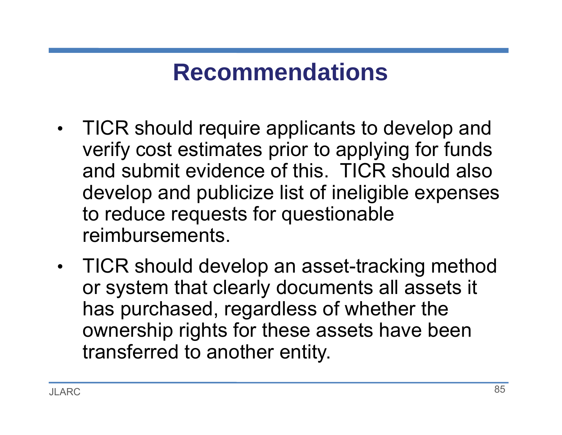- $\bullet$  TICR should require applicants to develop and verify cost estimates prior to applying for funds and submit evidence of this. TICR should also develop and publicize list of ineligible expenses to reduce requests for questionable reimbursements.
- $\bullet$  TICR should develop an asset-tracking method or system that clearly documents all assets it has purchased, regardless of whether the ownership rights for these assets have been transferred to another entity.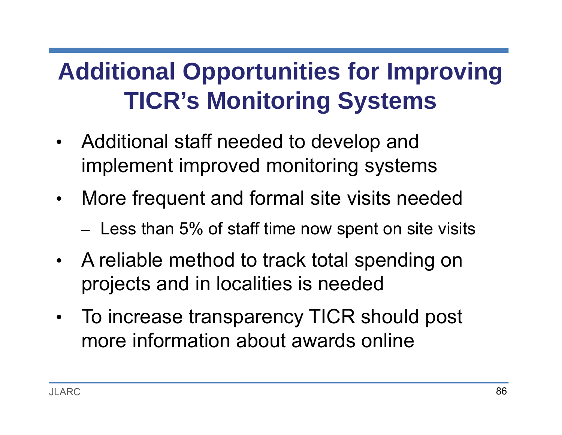## **Additional Opportunities for Improving TICR's Monitoring Systems**

- • Additional staff needed to develop and implement improved monitoring systems
- • More frequent and formal site visits needed
	- – $-$  Less than 5% of staff time now spent on site visits
- • A reliable method to track total spending on projects and in localities is needed
- $\bullet$  To increase transparency TICR should post more information about awards online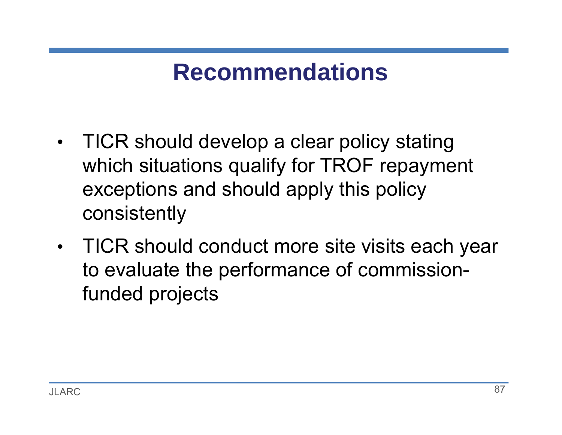- • TICR should develop a clear policy stating which situations qualify for TROF repayment exceptions and should apply this policy consistently
- • TICR should conduct more site visits each year to evaluate the performance of commissionfunded projects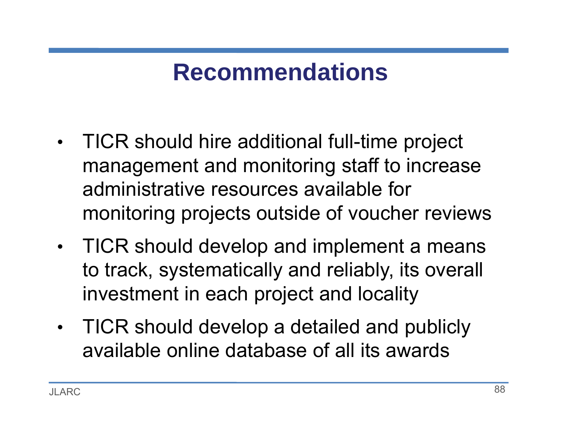- • TICR should hire additional full-time project management and monitoring staff to increase administrative resources available for monitoring projects outside of voucher reviews
- $\bullet$  TICR should develop and implement a means to track, systematically and reliably, its overall investment in each project and locality
- • TICR should develop a detailed and publicly available online database of all its awards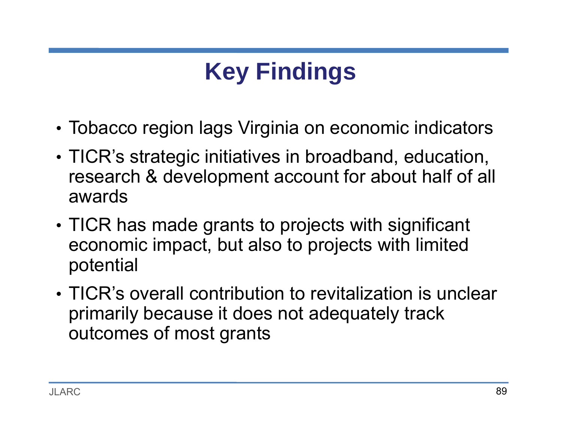# **Key Findings**

- Tobacco region lags Virginia on economic indicators
- TICR's strategic initiatives in broadband, education, research & development account for about half of all awards
- TICR has made grants to projects with significant economic impact, but also to projects with limited potential
- TICR's overall contribution to revitalization is unclear primarily because it does not adequately track outcomes of most grants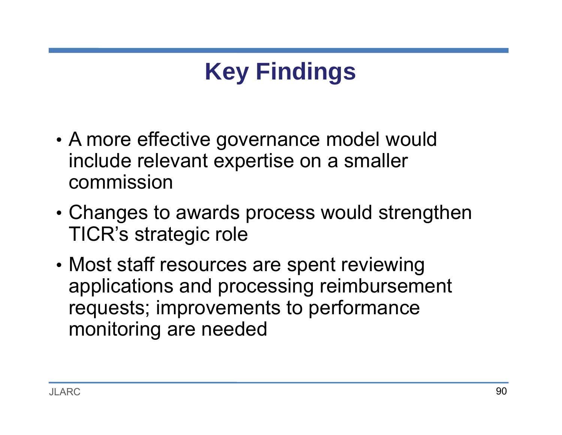# **Key Findings**

- • A more effective governance model would include relevant expertise on a smaller commission
- • Changes to awards process would strengthen TICR's strategic role
- • Most staff resources are spent reviewing applications and processing reimbursement requests; improvements to performance monitoring are needed